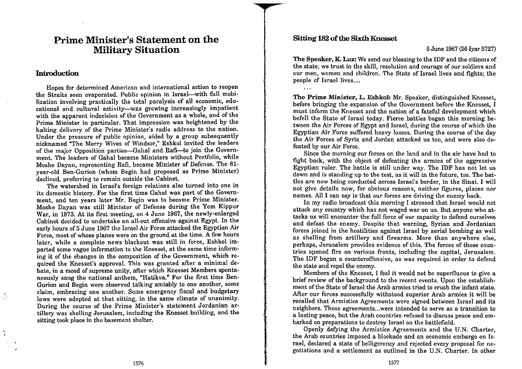## **Prime Minister's Statement on the Military Situation**

## Introduction

 $\frac{3}{10}$ 

 $\mathcal{F}$ 

Hopes for determined American and international action to reopen the Straits soon evaporated. Public opinion in Israel-with full mobilization involving practically the total paralysis of all economic, educational and cultural activity-was growing increasingly impatient with the apparent indecision of the Government as a whole, and of the Prime Minister in particular. That impression was heightened by the halting delivery of the Prime Minister's radio address to the nation. Under the pressure of public opinion, aided by a group subsequently nicknamed "The Merry Wives of Windsor," Eshkol invited the leaders of the major Opposition parties-Gahal and Rafi-to join the Government. The leaders of Gahal became Ministers without Portfolio, while Moshe Dayan, representing Rafi, became Minister of Defense. The 81year-old Ben-Gurion (whom Begin had proposed as Prime Minister) declined, preferring to remain outside the Cabinet.

The watershed in Israel's foreign relations also turned into one in its domestic history. For the first time Gahal was part of the Government, and ten years later Mr. Begin was to become Prime Minister. Moshe Dayan was still Minister of Defense during the Yom Kippur War, in 1973. At its first meeting, on 4 June 1967, the newly-enlarged Cabinet decided to undertake an all-out offensive against Egypt. In the early hours of 5 June 1967 the Israel Air Force attacked the Egyptian Air Force, most of whose planes were on the ground at the time. A few hours later, while a complete news blackout was still in force, Eshkol imparted some vague information to the Knesset, at the same time informing it of the changes in the composition of the Government, which required the Knesset's approval. This was granted after a minimal debate, in a mood of supreme unity, after which Knesset Members spontaneously sang the national anthem, "Hatikva." For the first time Ben-Gurion and Begin were observed talking amiably to one another, some claim, embracing one another. Some emergency fiscal and budgetary laws were adopted at that sitting, in the same climate of unanimity. During the course of the Prime Minister's statement Jordanian artillery was shelling Jerusalem, including the Knesset building, and the sitting took place in the basement shelter.

## **Sitting 182 of the Sixth Knesset**

 $\mathcal{L}(\mathcal{L},\mathcal{L})$ 

## 5 June 1967 (26 Ivar 5727)

The Speaker, K. Luz: We send our blessing to the IDF and the citizens of the state; we trust in the skill, resolution and courage of our soldiers and our men, women and children. The State of Israel lives and fights; the people of Israel lives....

The Prime Minister, L. Eshkol: Mr. Speaker, distinguished Knesset, before bringing the expansion of the Government before the Knesset. I must inform the Knesset and the nation of a fateful development which befell the State of Israel today. Fierce battles began this morning between the Air Forces of Egypt and Israel, during the course of which the Egyptian Air Force suffered heavy losses. During the course of the day the Air Forces of Syria and Jordan attacked us too, and were also defeated by our Air Force.

Since the morning our forces on the land and in the air have had to fight back, with the object of defeating the armies of the aggressive Egyptian ruler. The battle is still under way. The IDF has not let us down and is standing up to the test, as it will in the future, too. The battles are now being conducted across Israel's border, in the Sinai, I will not give details now, for obvious reasons, neither figures, places nor names. All I can say is that our forces are driving the enemy back.

In my radio broadcast this morning I stressed that Israel would not attack any country which has not waged war on us. But anyone who attacks us will encounter the full force of our capacity to defend ourselves and defeat the enemy. Despite that warning, Syrian and Jordanian forces joined in the hostilities against Israel by aerial bombing as well as shelling from artillery and firearms. More than anywhere else, perhaps, Jerusalem provides evidence of this. The forces of those countries opened fire on various fronts, including the capital, Jerusalem, The IDF began a counteroffensive, as was required in order to defend the state and repel the enemy.

Members of the Knesset, I feel it would not be superfluous to give a brief review of the background to the recent events. Upon the establishment of the State of Israel the Arab armies tried to crush the infant state. After our forces successfully withstood superior Arab armies it will be recalled that Armistice Agreements were signed between Israel and its neighbors. Those agreements...were intended to serve as a transition to a lasting peace, but the Arab countries refused to discuss peace and embarked on preparations to destroy Israel on the battlefield.

Openly defying the Armistice Agreements and the U.N. Charter, the Arab countries imposed a blockade and an economic embargo on Israel, declared a state of belligerency and rejected every proposal for negotiations and a settlement as outlined in the U.N. Charter. In other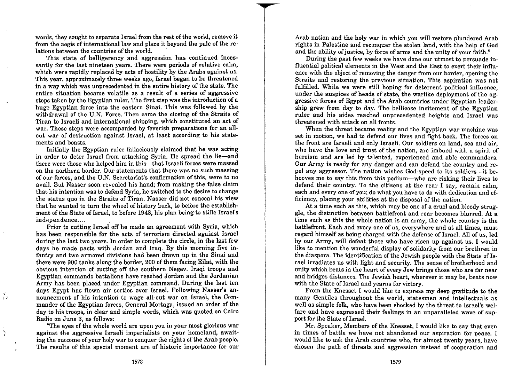words, they sought to separate Israel from the rest of the world, remove it from the aegis of international law and place it beyond the pale of the relations between the countries of the world.

This state of belligerency and aggression has continued incessantly for the last nineteen years. There were periods of relative calm, which were rapidly replaced by acts of hostility by the Arabs against us. This year, approximately three weeks ago, Israel began to be threatened in a way which was unprecedented in the entire history of the state. The entire situation became volatile as a result of a series of aggressive steps taken by the Egyptian ruler. The first step was the introduction of a huge Egyptian force into the eastern Sinai. This was followed by the withdrawal of the U.N. Force. Then came the closing of the Straits of Tiran to Israeli and international shipping, which constituted an act of war. These steps were accompanied by feverish preparations for an allout war of destruction against Israel, at least according to his statements and boasts.

Initially the Egyptian ruler fallaciously claimed that he was acting in order to deter Israel from attacking Syria. He spread the lie—and there were those who helped him in this—that Israeli forces were massed on the northern border. Our statements that there was no such massing of our forces, and the U.N. Secretariat's confirmation of this, were to no avail. But Nasser soon revealed his hand; from making the false claim that his intention was to defend Syria, he switched to the desire to change the status quo in the Straits of Tiran. Nasser did not conceal his view that he wanted to turn the wheel of history back, to before the establishment of the State of Israel, to before 1948, his plan being to stifle Israel's independence....

Prior to cutting Israel off he made an agreement with Syria, which has been responsible for the acts of terrorism directed against Israel during the last two years. In order to complete the circle, in the last few days he made pacts with Jordan and Iraq. By this morning five infantry and two armored divisions had been drawn up in the Sinai and there were 900 tanks along the border, 200 of them facing Eilat, with the obvious intention of cutting off the southern Negev. Iraqi troops and Egyptian commando battalions have reached Jordan and the Jordanian Army has been placed under Egyptian command. During the last ten days Egypt has flown air sorties over Israel. Following Nasser's announcement of his intention to wage all-out war on Israel, the Commander of the Egyptian forces, General Mortaga, issued an order of the day to his troops, in clear and simple words, which was quoted on Cairo Radio on June 3, as follows:

 $\frac{45}{15}$ 

"The eyes of the whole world are upon you in your most glorious war against the aggressive Israeli imperialists on your homeland, awaiting the outcome of your holy war to conquer the rights of the Arab people. The results of this special moment are of historic importance for our

Arab nation and the holy war in which you will restore plundered Arab rights in Palestine and reconquer the stolen land, with the help of God and the ability of justice, by force of arms and the unity of your faith."

During the past few weeks we have done our utmost to persuade influential political elements in the West and the East to exert their influence with the object of removing the danger from our border, opening the Straits and restoring the previous situation. This aspiration was not fulfilled. While we were still hoping for deterrent political influence. under the auspices of heads of state, the warlike deployment of the aggressive forces of Egypt and the Arab countries under Egyptian leadership grew from day to day. The bellicose incitement of the Egyptian ruler and his aides reached unprecedented heights and Israel was threatened with attack on all fronts.

When the threat became reality and the Egyptian war machine was set in motion, we had to defend our lives and fight back. The forces on the front are Israeli and only Israeli. Our soldiers on land, sea and air. who have the love and trust of the nation, are imbued with a spirit of heroism and are led by talented, experienced and able commanders. Our Army is ready for any danger and can defend the country and repel any aggressor. The nation wishes God-speed to its soldiers-it behooves me to say this from this podium—who are risking their lives to defend their country. To the citizens at the rear I say, remain calm, each and every one of you; do what you have to do with dedication and efficiency, placing your abilities at the disposal of the nation.

At a time such as this, which may be one of a cruel and bloody struggle, the distinction between battlefront and rear becomes blurred. At a time such as this the whole nation is an army, the whole country is the battlefront. Each and every one of us, everywhere and at all times, must regard himself as being charged with the defense of Israel. All of us, led by our Army, will defeat those who have risen up against us. I would like to mention the wonderful display of solidarity from our brethren in the diaspora. The identification of the Jewish people with the State of Israel irradiates us with light and security. The sense of brotherhood and unity which beats in the heart of every Jew brings those who are far near and bridges distances. The Jewish heart, wherever it may be, beats now with the State of Israel and yearns for victory.

From the Knesset I would like to express my deep gratitude to the many Gentiles throughout the world, statesmen and intellectuals as well as simple folk, who have been shocked by the threat to Israel's welfare and have expressed their feelings in an unparalleled wave of support for the State of Israel.

Mr. Speaker, Members of the Knesset. I would like to say that even in times of battle we have not abandoned our aspiration for peace. I would like to ask the Arab countries who, for almost twenty years, have chosen the path of threats and aggression instead of cooperation and